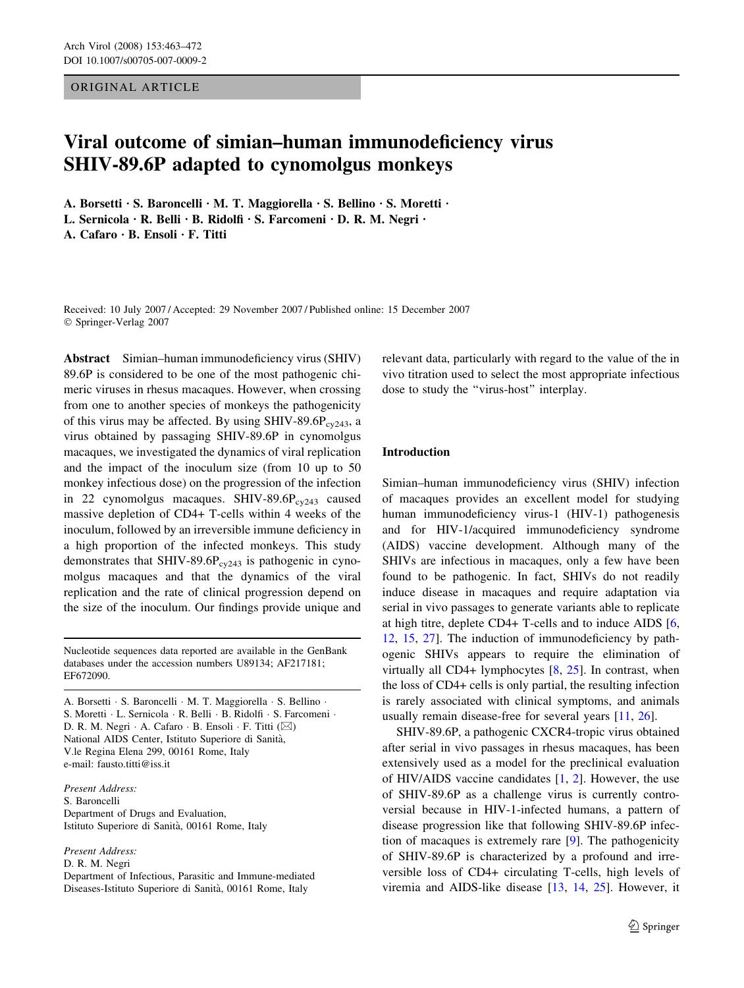ORIGINAL ARTICLE

# Viral outcome of simian–human immunodeficiency virus SHIV-89.6P adapted to cynomolgus monkeys

A. Borsetti · S. Baroncelli · M. T. Maggiorella · S. Bellino · S. Moretti · L. Sernicola · R. Belli · B. Ridolfi · S. Farcomeni · D. R. M. Negri ·

A. Cafaro  $\cdot$  B. Ensoli  $\cdot$  F. Titti

Received: 10 July 2007 / Accepted: 29 November 2007 / Published online: 15 December 2007 Springer-Verlag 2007

Abstract Simian–human immunodeficiency virus (SHIV) 89.6P is considered to be one of the most pathogenic chimeric viruses in rhesus macaques. However, when crossing from one to another species of monkeys the pathogenicity of this virus may be affected. By using SHIV-89.6P $_{\text{cv243}}$ , a virus obtained by passaging SHIV-89.6P in cynomolgus macaques, we investigated the dynamics of viral replication and the impact of the inoculum size (from 10 up to 50 monkey infectious dose) on the progression of the infection in 22 cynomolgus macaques. SHIV-89.6 $P_{cv243}$  caused massive depletion of CD4+ T-cells within 4 weeks of the inoculum, followed by an irreversible immune deficiency in a high proportion of the infected monkeys. This study demonstrates that SHIV-89.6 $P_{cy243}$  is pathogenic in cynomolgus macaques and that the dynamics of the viral replication and the rate of clinical progression depend on the size of the inoculum. Our findings provide unique and

Nucleotide sequences data reported are available in the GenBank databases under the accession numbers U89134; AF217181; EF672090.

A. Borsetti · S. Baroncelli · M. T. Maggiorella · S. Bellino · S. Moretti · L. Sernicola · R. Belli · B. Ridolfi · S. Farcomeni · D. R. M. Negri  $\cdot$  A. Cafaro  $\cdot$  B. Ensoli  $\cdot$  F. Titti ( $\boxtimes$ ) National AIDS Center, Istituto Superiore di Sanita`, V.le Regina Elena 299, 00161 Rome, Italy e-mail: fausto.titti@iss.it

Present Address: S. Baroncelli Department of Drugs and Evaluation, Istituto Superiore di Sanità, 00161 Rome, Italy

Present Address:

D. R. M. Negri

Department of Infectious, Parasitic and Immune-mediated Diseases-Istituto Superiore di Sanità, 00161 Rome, Italy

relevant data, particularly with regard to the value of the in vivo titration used to select the most appropriate infectious dose to study the ''virus-host'' interplay.

# Introduction

Simian–human immunodeficiency virus (SHIV) infection of macaques provides an excellent model for studying human immunodeficiency virus-1 (HIV-1) pathogenesis and for HIV-1/acquired immunodeficiency syndrome (AIDS) vaccine development. Although many of the SHIVs are infectious in macaques, only a few have been found to be pathogenic. In fact, SHIVs do not readily induce disease in macaques and require adaptation via serial in vivo passages to generate variants able to replicate at high titre, deplete CD4+ T-cells and to induce AIDS [[6,](#page-8-0) [12](#page-8-0), [15](#page-8-0), [27\]](#page-8-0). The induction of immunodeficiency by pathogenic SHIVs appears to require the elimination of virtually all CD4+ lymphocytes  $[8, 25]$  $[8, 25]$  $[8, 25]$  $[8, 25]$ . In contrast, when the loss of CD4+ cells is only partial, the resulting infection is rarely associated with clinical symptoms, and animals usually remain disease-free for several years [\[11](#page-8-0), [26\]](#page-8-0).

SHIV-89.6P, a pathogenic CXCR4-tropic virus obtained after serial in vivo passages in rhesus macaques, has been extensively used as a model for the preclinical evaluation of HIV/AIDS vaccine candidates [[1,](#page-7-0) [2\]](#page-7-0). However, the use of SHIV-89.6P as a challenge virus is currently controversial because in HIV-1-infected humans, a pattern of disease progression like that following SHIV-89.6P infection of macaques is extremely rare [\[9](#page-8-0)]. The pathogenicity of SHIV-89.6P is characterized by a profound and irreversible loss of CD4+ circulating T-cells, high levels of viremia and AIDS-like disease [[13,](#page-8-0) [14,](#page-8-0) [25](#page-8-0)]. However, it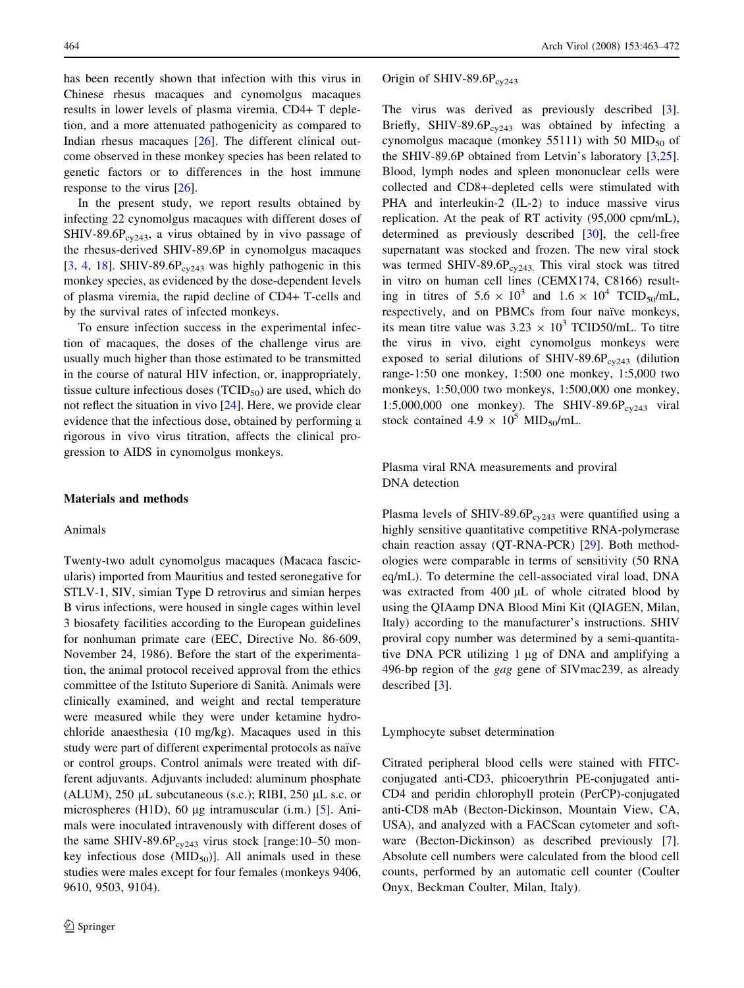has been recently shown that infection with this virus in Chinese rhesus macaques and cynomolgus macaques results in lower levels of plasma viremia, CD4+ T depletion, and a more attenuated pathogenicity as compared to Indian rhesus macaques [[26\]](#page-8-0). The different clinical outcome observed in these monkey species has been related to genetic factors or to differences in the host immune response to the virus [[26\]](#page-8-0).

In the present study, we report results obtained by infecting 22 cynomolgus macaques with different doses of SHIV-89.6P $_{cv243}$ , a virus obtained by in vivo passage of the rhesus-derived SHIV-89.6P in cynomolgus macaques  $[3, 4, 18]$  $[3, 4, 18]$  $[3, 4, 18]$  $[3, 4, 18]$  $[3, 4, 18]$ . SHIV-89.6P<sub>cy243</sub> was highly pathogenic in this monkey species, as evidenced by the dose-dependent levels of plasma viremia, the rapid decline of CD4+ T-cells and by the survival rates of infected monkeys.

To ensure infection success in the experimental infection of macaques, the doses of the challenge virus are usually much higher than those estimated to be transmitted in the course of natural HIV infection, or, inappropriately, tissue culture infectious doses  $(TCID_{50})$  are used, which do not reflect the situation in vivo [[24\]](#page-8-0). Here, we provide clear evidence that the infectious dose, obtained by performing a rigorous in vivo virus titration, affects the clinical progression to AIDS in cynomolgus monkeys.

#### Materials and methods

## Animals

Twenty-two adult cynomolgus macaques (Macaca fascicularis) imported from Mauritius and tested seronegative for STLV-1, SIV, simian Type D retrovirus and simian herpes B virus infections, were housed in single cages within level 3 biosafety facilities according to the European guidelines for nonhuman primate care (EEC, Directive No. 86-609, November 24, 1986). Before the start of the experimentation, the animal protocol received approval from the ethics committee of the Istituto Superiore di Sanita`. Animals were clinically examined, and weight and rectal temperature were measured while they were under ketamine hydrochloride anaesthesia (10 mg/kg). Macaques used in this study were part of different experimental protocols as naïve or control groups. Control animals were treated with different adjuvants. Adjuvants included: aluminum phosphate (ALUM),  $250 \mu L$  subcutaneous (s.c.); RIBI,  $250 \mu L$  s.c. or microspheres (H1D), 60  $\mu$ g intramuscular (i.m.) [\[5](#page-8-0)]. Animals were inoculated intravenously with different doses of the same SHIV-89.6P<sub>cy243</sub> virus stock [range:10–50 monkey infectious dose  $(MID_{50})$ ]. All animals used in these studies were males except for four females (monkeys 9406, 9610, 9503, 9104).

Origin of SHIV-89.6 $P_{cv243}$ 

The virus was derived as previously described [\[3](#page-8-0)]. Briefly, SHIV-89.6P $_{\rm cv243}$  was obtained by infecting a cynomolgus macaque (monkey 55111) with 50  $MID<sub>50</sub>$  of the SHIV-89.6P obtained from Letvin's laboratory [[3,25](#page-8-0)]. Blood, lymph nodes and spleen mononuclear cells were collected and CD8+-depleted cells were stimulated with PHA and interleukin-2 (IL-2) to induce massive virus replication. At the peak of RT activity (95,000 cpm/mL), determined as previously described [[30\]](#page-9-0), the cell-free supernatant was stocked and frozen. The new viral stock was termed SHIV-89.6P $_{cy243}$ . This viral stock was titred in vitro on human cell lines (CEMX174, C8166) resulting in titres of  $5.6 \times 10^3$  and  $1.6 \times 10^4$  TCID<sub>50</sub>/mL, respectively, and on PBMCs from four naïve monkeys, its mean titre value was  $3.23 \times 10^3$  TCID50/mL. To titre the virus in vivo, eight cynomolgus monkeys were exposed to serial dilutions of SHIV-89.6P $_{\text{cv243}}$  (dilution range-1:50 one monkey, 1:500 one monkey, 1:5,000 two monkeys, 1:50,000 two monkeys, 1:500,000 one monkey, 1:5,000,000 one monkey). The SHIV-89.6 $P_{cv243}$  viral stock contained  $4.9 \times 10^5$  MID<sub>50</sub>/mL.

Plasma viral RNA measurements and proviral DNA detection

Plasma levels of SHIV-89.6P $_{\text{cv243}}$  were quantified using a highly sensitive quantitative competitive RNA-polymerase chain reaction assay (QT-RNA-PCR) [[29\]](#page-9-0). Both methodologies were comparable in terms of sensitivity (50 RNA eq/mL). To determine the cell-associated viral load, DNA was extracted from  $400 \mu L$  of whole citrated blood by using the QIAamp DNA Blood Mini Kit (QIAGEN, Milan, Italy) according to the manufacturer's instructions. SHIV proviral copy number was determined by a semi-quantitative DNA PCR utilizing 1 µg of DNA and amplifying a 496-bp region of the gag gene of SIVmac239, as already described [\[3](#page-8-0)].

Lymphocyte subset determination

Citrated peripheral blood cells were stained with FITCconjugated anti-CD3, phicoerythrin PE-conjugated anti-CD4 and peridin chlorophyll protein (PerCP)-conjugated anti-CD8 mAb (Becton-Dickinson, Mountain View, CA, USA), and analyzed with a FACScan cytometer and software (Becton-Dickinson) as described previously [\[7](#page-8-0)]. Absolute cell numbers were calculated from the blood cell counts, performed by an automatic cell counter (Coulter Onyx, Beckman Coulter, Milan, Italy).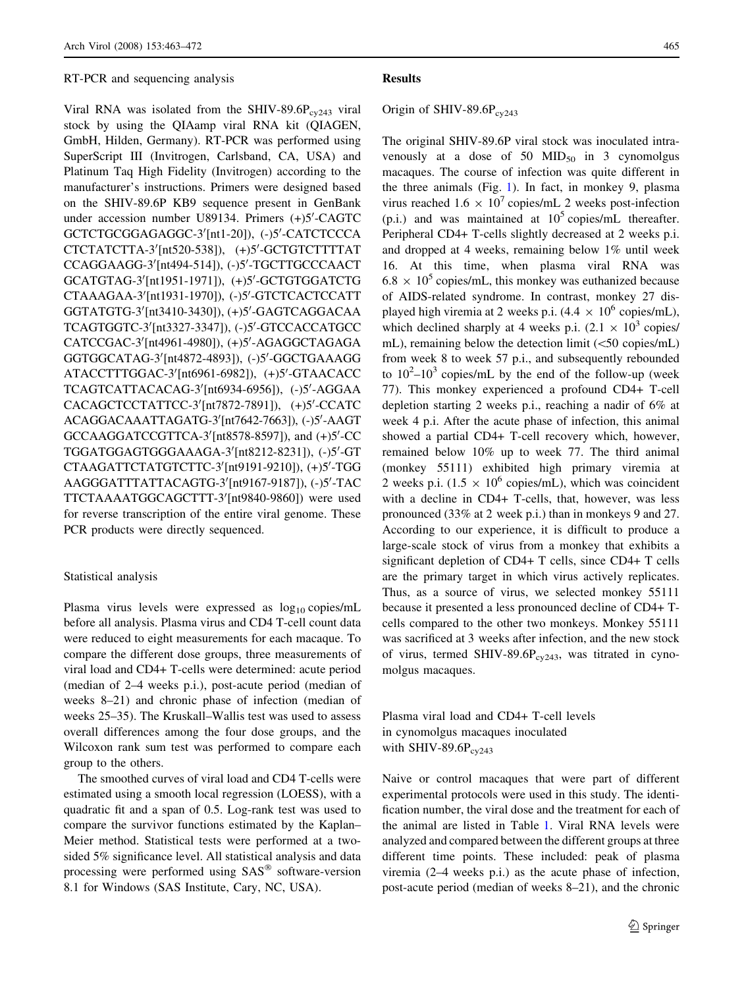#### RT-PCR and sequencing analysis

Viral RNA was isolated from the SHIV-89.6P $_{\rm cv243}$  viral stock by using the QIAamp viral RNA kit (QIAGEN, GmbH, Hilden, Germany). RT-PCR was performed using SuperScript III (Invitrogen, Carlsband, CA, USA) and Platinum Taq High Fidelity (Invitrogen) according to the manufacturer's instructions. Primers were designed based on the SHIV-89.6P KB9 sequence present in GenBank under accession number U89134. Primers (+)5'-CAGTC GCTCTGCGGAGAGGC-3'[nt1-20]), (-)5'-CATCTCCCA CTCTATCTTA-3'[nt520-538]), (+)5'-GCTGTCTTTTAT CCAGGAAGG-3'[nt494-514]), (-)5'-TGCTTGCCCAACT GCATGTAG-3'[nt1951-1971]), (+)5'-GCTGTGGATCTG CTAAAGAA-3'[nt1931-1970]), (-)5'-GTCTCACTCCATT GGTATGTG-3'[nt3410-3430]), (+)5'-GAGTCAGGACAA TCAGTGGTC-3'[nt3327-3347]), (-)5'-GTCCACCATGCC CATCCGAC-3'[nt4961-4980]), (+)5'-AGAGGCTAGAGA GGTGGCATAG-3'[nt4872-4893]), (-)5'-GGCTGAAAGG ATACCTTTGGAC-3'[nt6961-6982]), (+)5'-GTAACACC TCAGTCATTACACAG-3'[nt6934-6956]), (-)5'-AGGAA CACAGCTCCTATTCC-3'[nt7872-7891]), (+)5'-CCATC ACAGGACAAATTAGATG-3'[nt7642-7663]), (-)5'-AAGT GCCAAGGATCCGTTCA-3'[nt8578-8597]), and (+)5'-CC TGGATGGAGTGGGAAAGA-3'[nt8212-8231]), (-)5'-GT CTAAGATTCTATGTCTTC-3'[nt9191-9210]), (+)5'-TGG AAGGGATTTATTACAGTG-3'[nt9167-9187]), (-)5'-TAC TTCTAAAATGGCAGCTTT-3'[nt9840-9860]) were used for reverse transcription of the entire viral genome. These PCR products were directly sequenced.

#### Statistical analysis

Plasma virus levels were expressed as  $log_{10}$  copies/mL before all analysis. Plasma virus and CD4 T-cell count data were reduced to eight measurements for each macaque. To compare the different dose groups, three measurements of viral load and CD4+ T-cells were determined: acute period (median of 2–4 weeks p.i.), post-acute period (median of weeks 8–21) and chronic phase of infection (median of weeks 25–35). The Kruskall–Wallis test was used to assess overall differences among the four dose groups, and the Wilcoxon rank sum test was performed to compare each group to the others.

The smoothed curves of viral load and CD4 T-cells were estimated using a smooth local regression (LOESS), with a quadratic fit and a span of 0.5. Log-rank test was used to compare the survivor functions estimated by the Kaplan– Meier method. Statistical tests were performed at a twosided 5% significance level. All statistical analysis and data processing were performed using SAS<sup>®</sup> software-version 8.1 for Windows (SAS Institute, Cary, NC, USA).

## **Results**

# Origin of SHIV-89.6 $P_{cv243}$

The original SHIV-89.6P viral stock was inoculated intravenously at a dose of 50  $MID_{50}$  in 3 cynomolgus macaques. The course of infection was quite different in the three animals (Fig. [1](#page-3-0)). In fact, in monkey 9, plasma virus reached  $1.6 \times 10^7$  copies/mL 2 weeks post-infection (p.i.) and was maintained at  $10^5$  copies/mL thereafter. Peripheral CD4+ T-cells slightly decreased at 2 weeks p.i. and dropped at 4 weeks, remaining below 1% until week 16. At this time, when plasma viral RNA was  $6.8 \times 10^5$  copies/mL, this monkey was euthanized because of AIDS-related syndrome. In contrast, monkey 27 displayed high viremia at 2 weeks p.i.  $(4.4 \times 10^6 \text{ copies/mL})$ , which declined sharply at 4 weeks p.i.  $(2.1 \times 10^3$  copies/ mL), remaining below the detection limit  $(<50$  copies/mL) from week 8 to week 57 p.i., and subsequently rebounded to  $10^2 - 10^3$  copies/mL by the end of the follow-up (week 77). This monkey experienced a profound CD4+ T-cell depletion starting 2 weeks p.i., reaching a nadir of 6% at week 4 p.i. After the acute phase of infection, this animal showed a partial CD4+ T-cell recovery which, however, remained below 10% up to week 77. The third animal (monkey 55111) exhibited high primary viremia at 2 weeks p.i.  $(1.5 \times 10^6 \text{ copies/mL})$ , which was coincident with a decline in CD4+ T-cells, that, however, was less pronounced (33% at 2 week p.i.) than in monkeys 9 and 27. According to our experience, it is difficult to produce a large-scale stock of virus from a monkey that exhibits a significant depletion of CD4+ T cells, since CD4+ T cells are the primary target in which virus actively replicates. Thus, as a source of virus, we selected monkey 55111 because it presented a less pronounced decline of CD4+ Tcells compared to the other two monkeys. Monkey 55111 was sacrificed at 3 weeks after infection, and the new stock of virus, termed SHIV-89.6P $_{\text{cv243}}$ , was titrated in cynomolgus macaques.

Plasma viral load and CD4+ T-cell levels in cynomolgus macaques inoculated with SHIV-89.6 $P_{cy243}$ 

Naive or control macaques that were part of different experimental protocols were used in this study. The identification number, the viral dose and the treatment for each of the animal are listed in Table [1](#page-3-0). Viral RNA levels were analyzed and compared between the different groups at three different time points. These included: peak of plasma viremia (2–4 weeks p.i.) as the acute phase of infection, post-acute period (median of weeks 8–21), and the chronic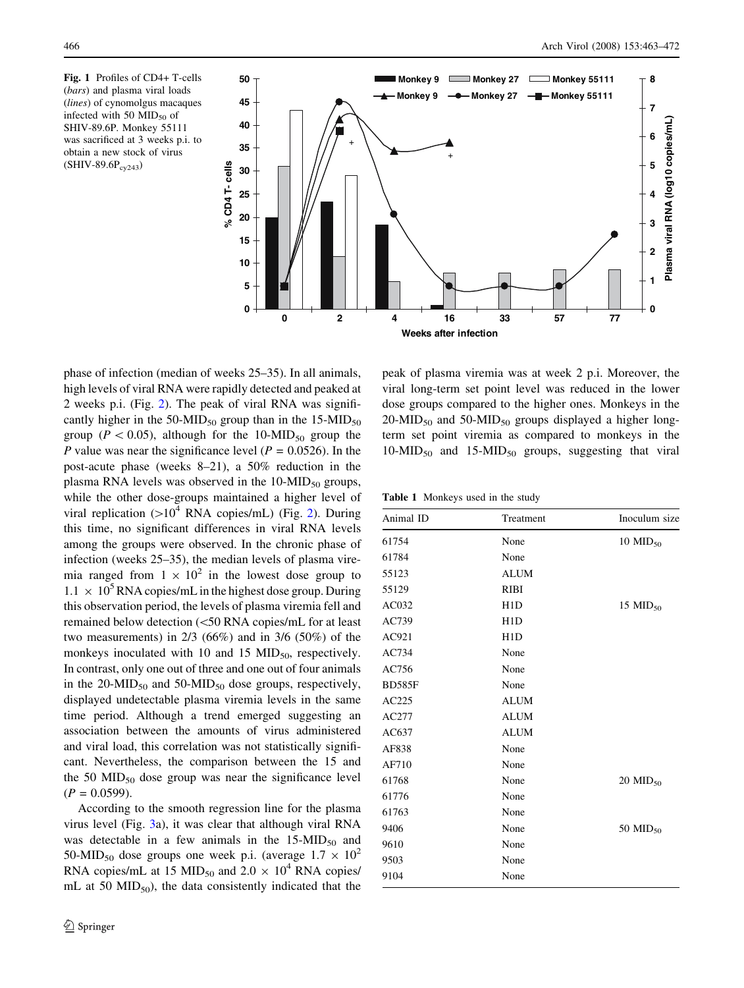<span id="page-3-0"></span>Fig. 1 Profiles of CD4+ T-cells (bars) and plasma viral loads (*lines*) of cynomolgus macaques infected with 50  $MID_{50}$  of SHIV-89.6P. Monkey 55111 was sacrificed at 3 weeks p.i. to obtain a new stock of virus  $(SHIV-89.6P_{cv243})$ 



phase of infection (median of weeks 25–35). In all animals, high levels of viral RNA were rapidly detected and peaked at 2 weeks p.i. (Fig. [2\)](#page-4-0). The peak of viral RNA was significantly higher in the  $50-MID_{50}$  group than in the  $15-MID_{50}$ group ( $P < 0.05$ ), although for the 10-MID<sub>50</sub> group the P value was near the significance level ( $P = 0.0526$ ). In the post-acute phase (weeks 8–21), a 50% reduction in the plasma RNA levels was observed in the  $10-MID_{50}$  groups, while the other dose-groups maintained a higher level of viral replication  $(>10^4$  RNA copies/mL) (Fig. [2\)](#page-4-0). During this time, no significant differences in viral RNA levels among the groups were observed. In the chronic phase of infection (weeks 25–35), the median levels of plasma viremia ranged from  $1 \times 10^2$  in the lowest dose group to  $1.1 \times 10^5$  RNA copies/mL in the highest dose group. During this observation period, the levels of plasma viremia fell and remained below detection (\50 RNA copies/mL for at least two measurements) in 2/3 (66%) and in 3/6 (50%) of the monkeys inoculated with 10 and 15  $MID<sub>50</sub>$ , respectively. In contrast, only one out of three and one out of four animals in the  $20-MID_{50}$  and  $50-MID_{50}$  dose groups, respectively, displayed undetectable plasma viremia levels in the same time period. Although a trend emerged suggesting an association between the amounts of virus administered and viral load, this correlation was not statistically significant. Nevertheless, the comparison between the 15 and the 50  $\text{MID}_{50}$  dose group was near the significance level  $(P = 0.0599)$ .

According to the smooth regression line for the plasma virus level (Fig. [3a](#page-5-0)), it was clear that although viral RNA was detectable in a few animals in the  $15-MID_{50}$  and 50-MID<sub>50</sub> dose groups one week p.i. (average  $1.7 \times 10^2$ RNA copies/mL at 15 MID<sub>50</sub> and 2.0  $\times$  10<sup>4</sup> RNA copies/ mL at 50  $\text{MID}_{50}$ ), the data consistently indicated that the

peak of plasma viremia was at week 2 p.i. Moreover, the viral long-term set point level was reduced in the lower dose groups compared to the higher ones. Monkeys in the  $20-MID_{50}$  and  $50-MID_{50}$  groups displayed a higher longterm set point viremia as compared to monkeys in the  $10-MID_{50}$  and  $15-MID_{50}$  groups, suggesting that viral

|  | Table 1 Monkeys used in the study |  |  |  |
|--|-----------------------------------|--|--|--|
|--|-----------------------------------|--|--|--|

| Animal ID     | Treatment        | Inoculum size          |  |
|---------------|------------------|------------------------|--|
| 61754         | None             | $10$ MID <sub>50</sub> |  |
| 61784         | None             |                        |  |
| 55123         | <b>ALUM</b>      |                        |  |
| 55129         | <b>RIBI</b>      |                        |  |
| AC032         | H <sub>1</sub> D | 15 MID <sub>50</sub>   |  |
| AC739         | H1D              |                        |  |
| AC921         | H1D              |                        |  |
| AC734         | None             |                        |  |
| AC756         | None             |                        |  |
| <b>BD585F</b> | None             |                        |  |
| AC225         | <b>ALUM</b>      |                        |  |
| AC277         | <b>ALUM</b>      |                        |  |
| AC637         | <b>ALUM</b>      |                        |  |
| AF838         | None             |                        |  |
| AF710         | None             |                        |  |
| 61768         | None             | $20$ MID <sub>50</sub> |  |
| 61776         | None             |                        |  |
| 61763         | None             |                        |  |
| 9406          | None             | 50 MID <sub>50</sub>   |  |
| 9610          | None             |                        |  |
| 9503          | None             |                        |  |
| 9104          | None             |                        |  |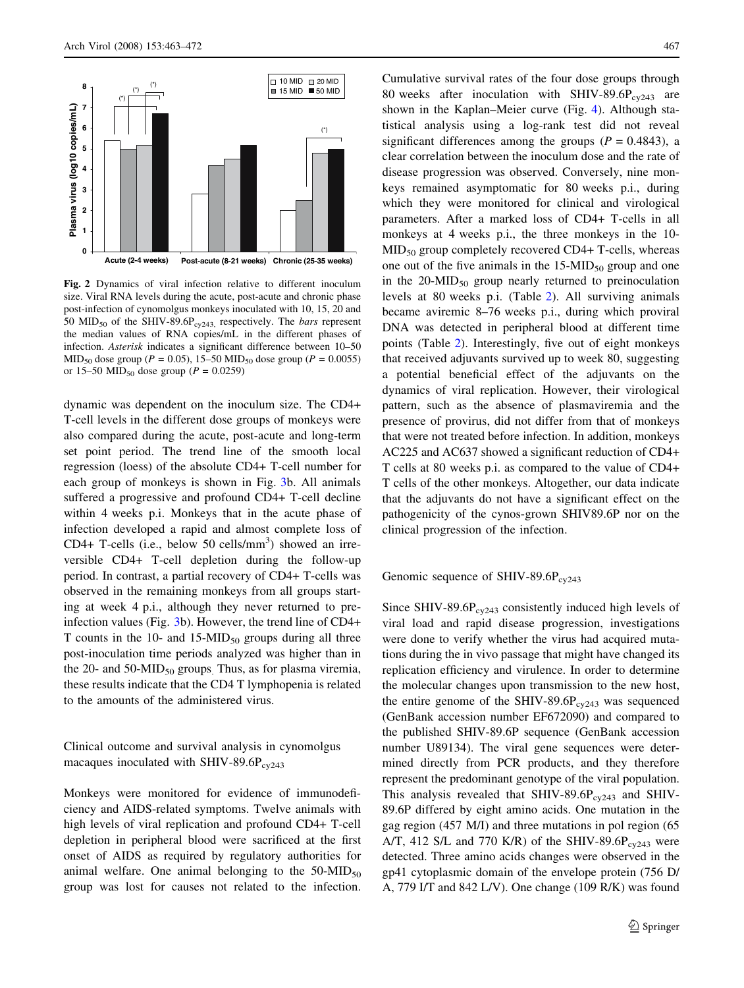<span id="page-4-0"></span>

Fig. 2 Dynamics of viral infection relative to different inoculum size. Viral RNA levels during the acute, post-acute and chronic phase post-infection of cynomolgus monkeys inoculated with 10, 15, 20 and 50 MID<sub>50</sub> of the SHIV-89.6P<sub>cy243</sub>, respectively. The *bars* represent the median values of RNA copies/mL in the different phases of infection. Asterisk indicates a significant difference between 10–50 MID<sub>50</sub> dose group ( $P = 0.05$ ), 15–50 MID<sub>50</sub> dose group ( $P = 0.0055$ ) or 15–50 MID<sub>50</sub> dose group ( $P = 0.0259$ )

dynamic was dependent on the inoculum size. The CD4+ T-cell levels in the different dose groups of monkeys were also compared during the acute, post-acute and long-term set point period. The trend line of the smooth local regression (loess) of the absolute CD4+ T-cell number for each group of monkeys is shown in Fig. [3b](#page-5-0). All animals suffered a progressive and profound CD4+ T-cell decline within 4 weeks p.i. Monkeys that in the acute phase of infection developed a rapid and almost complete loss of CD4+ T-cells (i.e., below 50 cells/ $\text{mm}^3$ ) showed an irreversible CD4+ T-cell depletion during the follow-up period. In contrast, a partial recovery of CD4+ T-cells was observed in the remaining monkeys from all groups starting at week 4 p.i., although they never returned to preinfection values (Fig. [3](#page-5-0)b). However, the trend line of CD4+ T counts in the 10- and  $15-MID_{50}$  groups during all three post-inoculation time periods analyzed was higher than in the 20- and 50-MID $_{50}$  groups. Thus, as for plasma viremia, these results indicate that the CD4 T lymphopenia is related to the amounts of the administered virus.

Clinical outcome and survival analysis in cynomolgus macaques inoculated with SHIV-89.6 $P_{cv243}$ 

Monkeys were monitored for evidence of immunodeficiency and AIDS-related symptoms. Twelve animals with high levels of viral replication and profound CD4+ T-cell depletion in peripheral blood were sacrificed at the first onset of AIDS as required by regulatory authorities for animal welfare. One animal belonging to the  $50-MID_{50}$ group was lost for causes not related to the infection. Cumulative survival rates of the four dose groups through 80 weeks after inoculation with SHIV-89.6P $_{\text{cv243}}$  are shown in the Kaplan–Meier curve (Fig. [4\)](#page-6-0). Although statistical analysis using a log-rank test did not reveal significant differences among the groups ( $P = 0.4843$ ), a clear correlation between the inoculum dose and the rate of disease progression was observed. Conversely, nine monkeys remained asymptomatic for 80 weeks p.i., during which they were monitored for clinical and virological parameters. After a marked loss of CD4+ T-cells in all monkeys at 4 weeks p.i., the three monkeys in the 10-  $MID<sub>50</sub>$  group completely recovered CD4+ T-cells, whereas one out of the five animals in the  $15-MID_{50}$  group and one in the  $20-MID_{50}$  group nearly returned to preinoculation levels at 80 weeks p.i. (Table [2\)](#page-6-0). All surviving animals became aviremic 8–76 weeks p.i., during which proviral DNA was detected in peripheral blood at different time points (Table [2](#page-6-0)). Interestingly, five out of eight monkeys that received adjuvants survived up to week 80, suggesting a potential beneficial effect of the adjuvants on the dynamics of viral replication. However, their virological pattern, such as the absence of plasmaviremia and the presence of provirus, did not differ from that of monkeys that were not treated before infection. In addition, monkeys AC225 and AC637 showed a significant reduction of CD4+ T cells at 80 weeks p.i. as compared to the value of CD4+ T cells of the other monkeys. Altogether, our data indicate that the adjuvants do not have a significant effect on the pathogenicity of the cynos-grown SHIV89.6P nor on the clinical progression of the infection.

Genomic sequence of SHIV-89.6 $P_{cy243}$ 

Since SHIV-89.6P $_{\text{cv243}}$  consistently induced high levels of viral load and rapid disease progression, investigations were done to verify whether the virus had acquired mutations during the in vivo passage that might have changed its replication efficiency and virulence. In order to determine the molecular changes upon transmission to the new host, the entire genome of the SHIV-89.6P $_{\text{cv243}}$  was sequenced (GenBank accession number EF672090) and compared to the published SHIV-89.6P sequence (GenBank accession number U89134). The viral gene sequences were determined directly from PCR products, and they therefore represent the predominant genotype of the viral population. This analysis revealed that SHIV-89.6P $_{\rm{cyc243}}$  and SHIV-89.6P differed by eight amino acids. One mutation in the gag region (457 M/I) and three mutations in pol region (65 A/T, 412 S/L and 770 K/R) of the SHIV-89.6P<sub>cy243</sub> were detected. Three amino acids changes were observed in the gp41 cytoplasmic domain of the envelope protein (756 D/ A, 779 I/T and 842 L/V). One change (109 R/K) was found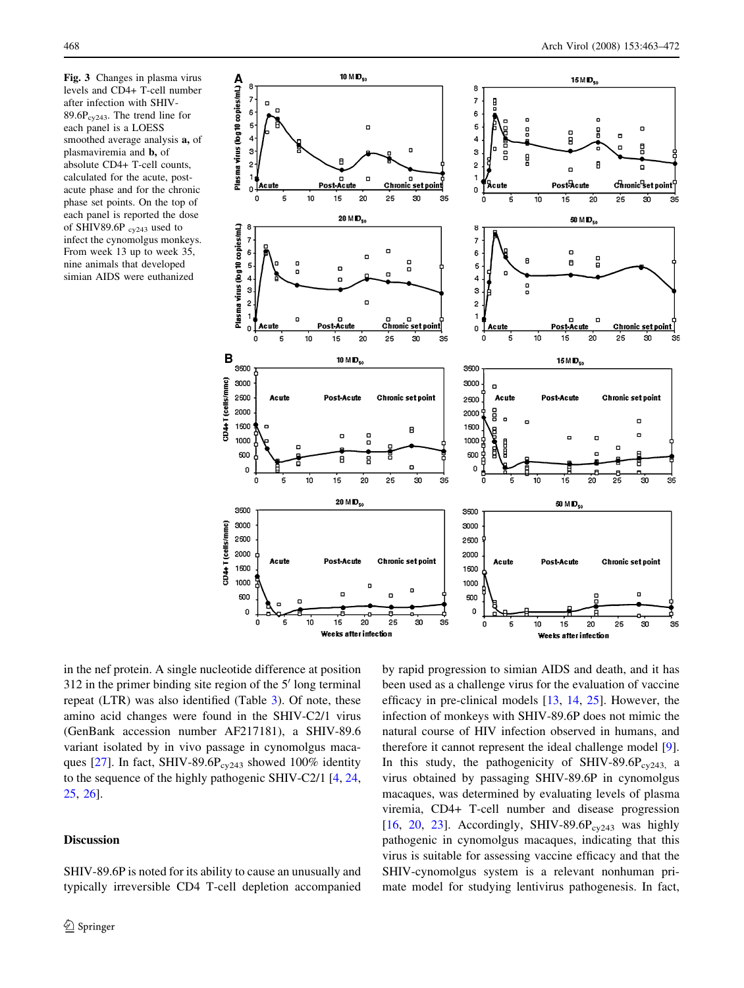<span id="page-5-0"></span>Fig. 3 Changes in plasma virus levels and CD4+ T-cell number after infection with SHIV-89.6 $P_{cy243}$ . The trend line for each panel is a LOESS smoothed average analysis a, of plasmaviremia and b, of absolute CD4+ T-cell counts, calculated for the acute, postacute phase and for the chronic phase set points. On the top of each panel is reported the dose of SHIV89.6P  $_{\text{cv243}}$  used to infect the cynomolgus monkeys. From week 13 up to week 35, nine animals that developed simian AIDS were euthanized



in the nef protein. A single nucleotide difference at position  $312$  in the primer binding site region of the  $5'$  long terminal repeat (LTR) was also identified (Table [3](#page-7-0)). Of note, these amino acid changes were found in the SHIV-C2/1 virus (GenBank accession number AF217181), a SHIV-89.6 variant isolated by in vivo passage in cynomolgus maca-ques [[27\]](#page-8-0). In fact, SHIV-89.6P<sub>cy243</sub> showed 100% identity to the sequence of the highly pathogenic SHIV-C2/1 [[4,](#page-8-0) [24,](#page-8-0) [25](#page-8-0), [26\]](#page-8-0).

# Discussion

SHIV-89.6P is noted for its ability to cause an unusually and typically irreversible CD4 T-cell depletion accompanied by rapid progression to simian AIDS and death, and it has been used as a challenge virus for the evaluation of vaccine efficacy in pre-clinical models [[13,](#page-8-0) [14,](#page-8-0) [25\]](#page-8-0). However, the infection of monkeys with SHIV-89.6P does not mimic the natural course of HIV infection observed in humans, and therefore it cannot represent the ideal challenge model [\[9](#page-8-0)]. In this study, the pathogenicity of SHIV-89.6P $_{\rm{cyc243}}$  a virus obtained by passaging SHIV-89.6P in cynomolgus macaques, was determined by evaluating levels of plasma viremia, CD4+ T-cell number and disease progression [\[16](#page-8-0), [20](#page-8-0), [23](#page-8-0)]. Accordingly, SHIV-89.6 $P_{cv243}$  was highly pathogenic in cynomolgus macaques, indicating that this virus is suitable for assessing vaccine efficacy and that the SHIV-cynomolgus system is a relevant nonhuman primate model for studying lentivirus pathogenesis. In fact,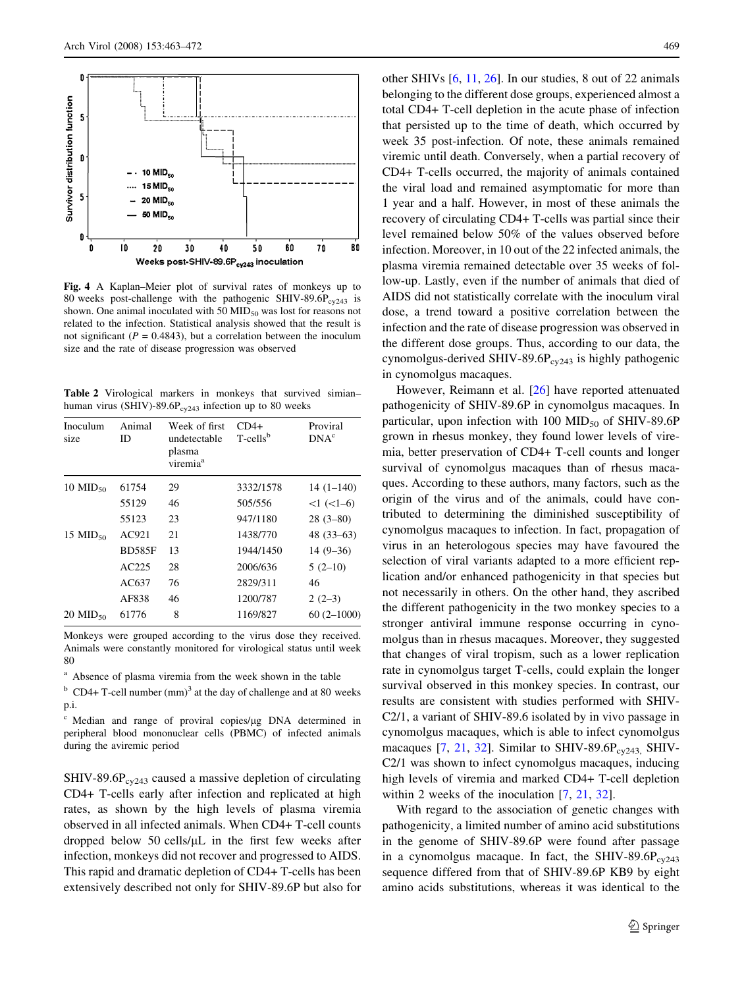<span id="page-6-0"></span>

Fig. 4 A Kaplan–Meier plot of survival rates of monkeys up to 80 weeks post-challenge with the pathogenic SHIV-89.6P $_{\text{cv243}}$  is shown. One animal inoculated with 50  $\text{MID}_{50}$  was lost for reasons not related to the infection. Statistical analysis showed that the result is not significant ( $P = 0.4843$ ), but a correlation between the inoculum size and the rate of disease progression was observed

Table 2 Virological markers in monkeys that survived simian– human virus (SHIV)-89.6 $P_{cv243}$  infection up to 80 weeks

| Inoculum<br>size       | Animal<br>ID  | Week of first<br>undetectable<br>plasma<br>viremia <sup>a</sup> | $CD4+$<br>T-cells <sup>b</sup> | Proviral<br>DNA <sup>c</sup> |
|------------------------|---------------|-----------------------------------------------------------------|--------------------------------|------------------------------|
| $10$ MID <sub>50</sub> | 61754         | 29                                                              | 3332/1578                      | $14(1-140)$                  |
|                        | 55129         | 46                                                              | 505/556                        | $<1$ $(<1-6)$                |
|                        | 55123         | 23                                                              | 947/1180                       | $28(3-80)$                   |
| 15 MID <sub>50</sub>   | AC921         | 21                                                              | 1438/770                       | $48(33-63)$                  |
|                        | <b>BD585F</b> | 13                                                              | 1944/1450                      | $14(9-36)$                   |
|                        | AC225         | 28                                                              | 2006/636                       | $5(2-10)$                    |
|                        | AC637         | 76                                                              | 2829/311                       | 46                           |
|                        | AF838         | 46                                                              | 1200/787                       | $2(2-3)$                     |
| $20 \text{ MID}_{50}$  | 61776         | 8                                                               | 1169/827                       | $60(2-1000)$                 |

Monkeys were grouped according to the virus dose they received. Animals were constantly monitored for virological status until week 80

<sup>a</sup> Absence of plasma viremia from the week shown in the table

 $b$  CD4+ T-cell number (mm)<sup>3</sup> at the day of challenge and at 80 weeks p.i.

<sup>c</sup> Median and range of proviral copies/lg DNA determined in peripheral blood mononuclear cells (PBMC) of infected animals during the aviremic period

 $SHIV-89.6P<sub>cv243</sub>$  caused a massive depletion of circulating CD4+ T-cells early after infection and replicated at high rates, as shown by the high levels of plasma viremia observed in all infected animals. When CD4+ T-cell counts dropped below 50 cells/ $\mu$ L in the first few weeks after infection, monkeys did not recover and progressed to AIDS. This rapid and dramatic depletion of CD4+ T-cells has been extensively described not only for SHIV-89.6P but also for other SHIVs [\[6](#page-8-0), [11,](#page-8-0) [26\]](#page-8-0). In our studies, 8 out of 22 animals belonging to the different dose groups, experienced almost a total CD4+ T-cell depletion in the acute phase of infection that persisted up to the time of death, which occurred by week 35 post-infection. Of note, these animals remained viremic until death. Conversely, when a partial recovery of CD4+ T-cells occurred, the majority of animals contained the viral load and remained asymptomatic for more than 1 year and a half. However, in most of these animals the recovery of circulating CD4+ T-cells was partial since their level remained below 50% of the values observed before infection. Moreover, in 10 out of the 22 infected animals, the plasma viremia remained detectable over 35 weeks of follow-up. Lastly, even if the number of animals that died of AIDS did not statistically correlate with the inoculum viral dose, a trend toward a positive correlation between the infection and the rate of disease progression was observed in the different dose groups. Thus, according to our data, the cynomolgus-derived SHIV-89.6 $P_{cy243}$  is highly pathogenic in cynomolgus macaques.

However, Reimann et al. [[26\]](#page-8-0) have reported attenuated pathogenicity of SHIV-89.6P in cynomolgus macaques. In particular, upon infection with 100  $MID_{50}$  of SHIV-89.6P grown in rhesus monkey, they found lower levels of viremia, better preservation of CD4+ T-cell counts and longer survival of cynomolgus macaques than of rhesus macaques. According to these authors, many factors, such as the origin of the virus and of the animals, could have contributed to determining the diminished susceptibility of cynomolgus macaques to infection. In fact, propagation of virus in an heterologous species may have favoured the selection of viral variants adapted to a more efficient replication and/or enhanced pathogenicity in that species but not necessarily in others. On the other hand, they ascribed the different pathogenicity in the two monkey species to a stronger antiviral immune response occurring in cynomolgus than in rhesus macaques. Moreover, they suggested that changes of viral tropism, such as a lower replication rate in cynomolgus target T-cells, could explain the longer survival observed in this monkey species. In contrast, our results are consistent with studies performed with SHIV-C2/1, a variant of SHIV-89.6 isolated by in vivo passage in cynomolgus macaques, which is able to infect cynomolgus macaques  $[7, 21, 32]$  $[7, 21, 32]$  $[7, 21, 32]$  $[7, 21, 32]$  $[7, 21, 32]$  $[7, 21, 32]$  $[7, 21, 32]$ . Similar to SHIV-89.6P<sub>cy243,</sub> SHIV-C2/1 was shown to infect cynomolgus macaques, inducing high levels of viremia and marked CD4+ T-cell depletion within 2 weeks of the inoculation [[7,](#page-8-0) [21](#page-8-0), [32](#page-9-0)].

With regard to the association of genetic changes with pathogenicity, a limited number of amino acid substitutions in the genome of SHIV-89.6P were found after passage in a cynomolgus macaque. In fact, the SHIV-89.6P $_{\text{cv243}}$ sequence differed from that of SHIV-89.6P KB9 by eight amino acids substitutions, whereas it was identical to the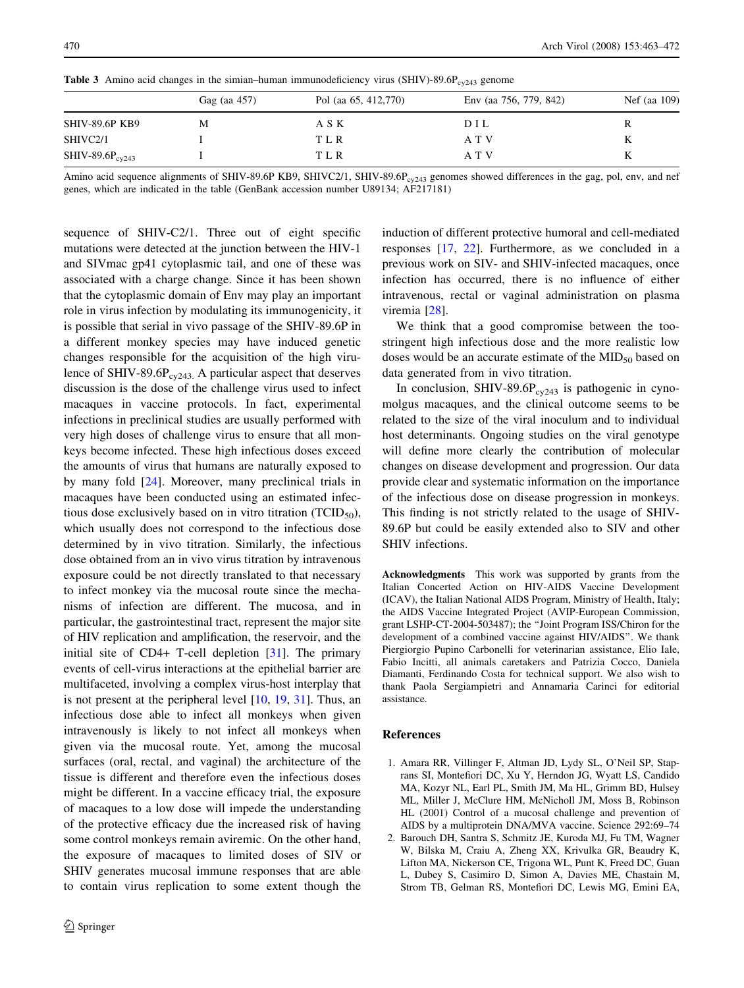|                       | Gag (aa 457) | Pol (aa 65, 412,770) | Env (aa 756, 779, 842) | Nef (aa 109) |
|-----------------------|--------------|----------------------|------------------------|--------------|
| <b>SHIV-89.6P KB9</b> | М            | A S K                | DIL                    | R            |
| SHIVC2/1              |              | T L R                | A T V                  | K            |
| SHIV-89.6 $P_{cv243}$ |              | T L R                | A T V                  | K            |

<span id="page-7-0"></span>**Table 3** Amino acid changes in the simian–human immunodeficiency virus (SHIV)-89.6P<sub>cy243</sub> genome

Amino acid sequence alignments of SHIV-89.6P KB9, SHIVC2/1, SHIV-89.6P<sub>cy243</sub> genomes showed differences in the gag, pol, env, and nef genes, which are indicated in the table (GenBank accession number U89134; AF217181)

sequence of SHIV-C2/1. Three out of eight specific mutations were detected at the junction between the HIV-1 and SIVmac gp41 cytoplasmic tail, and one of these was associated with a charge change. Since it has been shown that the cytoplasmic domain of Env may play an important role in virus infection by modulating its immunogenicity, it is possible that serial in vivo passage of the SHIV-89.6P in a different monkey species may have induced genetic changes responsible for the acquisition of the high virulence of SHIV-89.6P $_{\text{cv243}}$ . A particular aspect that deserves discussion is the dose of the challenge virus used to infect macaques in vaccine protocols. In fact, experimental infections in preclinical studies are usually performed with very high doses of challenge virus to ensure that all monkeys become infected. These high infectious doses exceed the amounts of virus that humans are naturally exposed to by many fold [\[24](#page-8-0)]. Moreover, many preclinical trials in macaques have been conducted using an estimated infectious dose exclusively based on in vitro titration ( $TCID_{50}$ ), which usually does not correspond to the infectious dose determined by in vivo titration. Similarly, the infectious dose obtained from an in vivo virus titration by intravenous exposure could be not directly translated to that necessary to infect monkey via the mucosal route since the mechanisms of infection are different. The mucosa, and in particular, the gastrointestinal tract, represent the major site of HIV replication and amplification, the reservoir, and the initial site of CD4+ T-cell depletion [[31\]](#page-9-0). The primary events of cell-virus interactions at the epithelial barrier are multifaceted, involving a complex virus-host interplay that is not present at the peripheral level [\[10](#page-8-0), [19,](#page-8-0) [31](#page-9-0)]. Thus, an infectious dose able to infect all monkeys when given intravenously is likely to not infect all monkeys when given via the mucosal route. Yet, among the mucosal surfaces (oral, rectal, and vaginal) the architecture of the tissue is different and therefore even the infectious doses might be different. In a vaccine efficacy trial, the exposure of macaques to a low dose will impede the understanding of the protective efficacy due the increased risk of having some control monkeys remain aviremic. On the other hand, the exposure of macaques to limited doses of SIV or SHIV generates mucosal immune responses that are able to contain virus replication to some extent though the

induction of different protective humoral and cell-mediated responses [\[17](#page-8-0), [22](#page-8-0)]. Furthermore, as we concluded in a previous work on SIV- and SHIV-infected macaques, once infection has occurred, there is no influence of either intravenous, rectal or vaginal administration on plasma viremia [\[28](#page-9-0)].

We think that a good compromise between the toostringent high infectious dose and the more realistic low doses would be an accurate estimate of the  $MID_{50}$  based on data generated from in vivo titration.

In conclusion, SHIV-89.6P $_{\text{cv243}}$  is pathogenic in cynomolgus macaques, and the clinical outcome seems to be related to the size of the viral inoculum and to individual host determinants. Ongoing studies on the viral genotype will define more clearly the contribution of molecular changes on disease development and progression. Our data provide clear and systematic information on the importance of the infectious dose on disease progression in monkeys. This finding is not strictly related to the usage of SHIV-89.6P but could be easily extended also to SIV and other SHIV infections.

Acknowledgments This work was supported by grants from the Italian Concerted Action on HIV-AIDS Vaccine Development (ICAV), the Italian National AIDS Program, Ministry of Health, Italy; the AIDS Vaccine Integrated Project (AVIP-European Commission, grant LSHP-CT-2004-503487); the ''Joint Program ISS/Chiron for the development of a combined vaccine against HIV/AIDS''. We thank Piergiorgio Pupino Carbonelli for veterinarian assistance, Elio Iale, Fabio Incitti, all animals caretakers and Patrizia Cocco, Daniela Diamanti, Ferdinando Costa for technical support. We also wish to thank Paola Sergiampietri and Annamaria Carinci for editorial assistance.

## References

- 1. Amara RR, Villinger F, Altman JD, Lydy SL, O'Neil SP, Staprans SI, Montefiori DC, Xu Y, Herndon JG, Wyatt LS, Candido MA, Kozyr NL, Earl PL, Smith JM, Ma HL, Grimm BD, Hulsey ML, Miller J, McClure HM, McNicholl JM, Moss B, Robinson HL (2001) Control of a mucosal challenge and prevention of AIDS by a multiprotein DNA/MVA vaccine. Science 292:69–74
- 2. Barouch DH, Santra S, Schmitz JE, Kuroda MJ, Fu TM, Wagner W, Bilska M, Craiu A, Zheng XX, Krivulka GR, Beaudry K, Lifton MA, Nickerson CE, Trigona WL, Punt K, Freed DC, Guan L, Dubey S, Casimiro D, Simon A, Davies ME, Chastain M, Strom TB, Gelman RS, Montefiori DC, Lewis MG, Emini EA,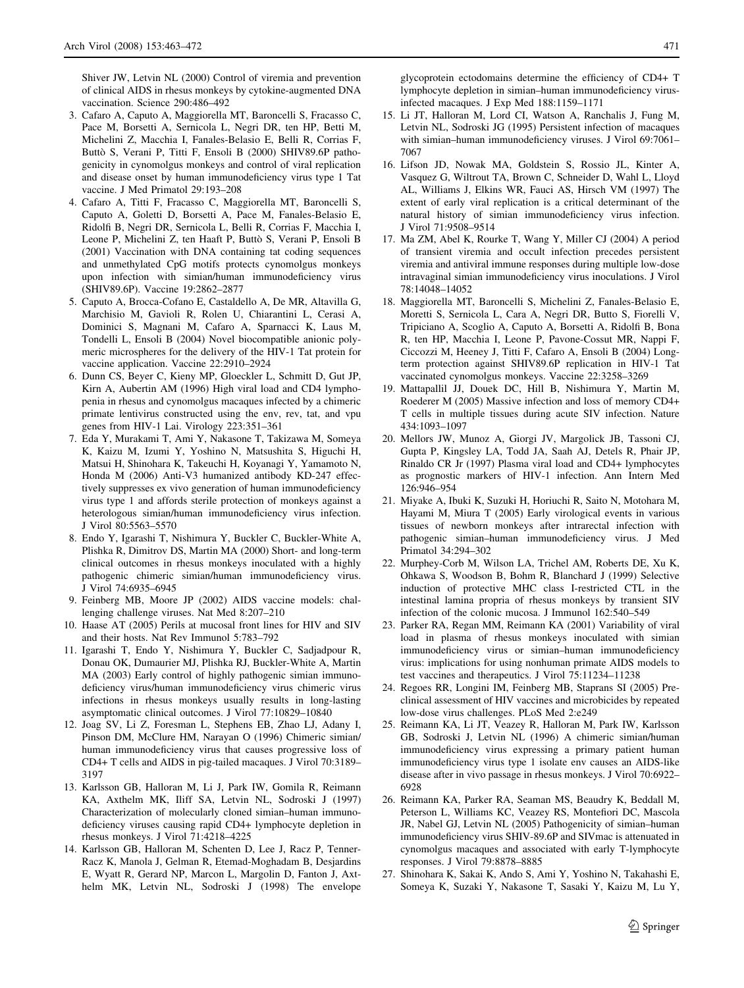<span id="page-8-0"></span>Shiver JW, Letvin NL (2000) Control of viremia and prevention of clinical AIDS in rhesus monkeys by cytokine-augmented DNA vaccination. Science 290:486–492

- 3. Cafaro A, Caputo A, Maggiorella MT, Baroncelli S, Fracasso C, Pace M, Borsetti A, Sernicola L, Negri DR, ten HP, Betti M, Michelini Z, Macchia I, Fanales-Belasio E, Belli R, Corrias F, Buttò S, Verani P, Titti F, Ensoli B (2000) SHIV89.6P pathogenicity in cynomolgus monkeys and control of viral replication and disease onset by human immunodeficiency virus type 1 Tat vaccine. J Med Primatol 29:193–208
- 4. Cafaro A, Titti F, Fracasso C, Maggiorella MT, Baroncelli S, Caputo A, Goletti D, Borsetti A, Pace M, Fanales-Belasio E, Ridolfi B, Negri DR, Sernicola L, Belli R, Corrias F, Macchia I, Leone P, Michelini Z, ten Haaft P, Buttò S, Verani P, Ensoli B (2001) Vaccination with DNA containing tat coding sequences and unmethylated CpG motifs protects cynomolgus monkeys upon infection with simian/human immunodeficiency virus (SHIV89.6P). Vaccine 19:2862–2877
- 5. Caputo A, Brocca-Cofano E, Castaldello A, De MR, Altavilla G, Marchisio M, Gavioli R, Rolen U, Chiarantini L, Cerasi A, Dominici S, Magnani M, Cafaro A, Sparnacci K, Laus M, Tondelli L, Ensoli B (2004) Novel biocompatible anionic polymeric microspheres for the delivery of the HIV-1 Tat protein for vaccine application. Vaccine 22:2910–2924
- 6. Dunn CS, Beyer C, Kieny MP, Gloeckler L, Schmitt D, Gut JP, Kirn A, Aubertin AM (1996) High viral load and CD4 lymphopenia in rhesus and cynomolgus macaques infected by a chimeric primate lentivirus constructed using the env, rev, tat, and vpu genes from HIV-1 Lai. Virology 223:351–361
- 7. Eda Y, Murakami T, Ami Y, Nakasone T, Takizawa M, Someya K, Kaizu M, Izumi Y, Yoshino N, Matsushita S, Higuchi H, Matsui H, Shinohara K, Takeuchi H, Koyanagi Y, Yamamoto N, Honda M (2006) Anti-V3 humanized antibody KD-247 effectively suppresses ex vivo generation of human immunodeficiency virus type 1 and affords sterile protection of monkeys against a heterologous simian/human immunodeficiency virus infection. J Virol 80:5563–5570
- 8. Endo Y, Igarashi T, Nishimura Y, Buckler C, Buckler-White A, Plishka R, Dimitrov DS, Martin MA (2000) Short- and long-term clinical outcomes in rhesus monkeys inoculated with a highly pathogenic chimeric simian/human immunodeficiency virus. J Virol 74:6935–6945
- 9. Feinberg MB, Moore JP (2002) AIDS vaccine models: challenging challenge viruses. Nat Med 8:207–210
- 10. Haase AT (2005) Perils at mucosal front lines for HIV and SIV and their hosts. Nat Rev Immunol 5:783–792
- 11. Igarashi T, Endo Y, Nishimura Y, Buckler C, Sadjadpour R, Donau OK, Dumaurier MJ, Plishka RJ, Buckler-White A, Martin MA (2003) Early control of highly pathogenic simian immunodeficiency virus/human immunodeficiency virus chimeric virus infections in rhesus monkeys usually results in long-lasting asymptomatic clinical outcomes. J Virol 77:10829–10840
- 12. Joag SV, Li Z, Foresman L, Stephens EB, Zhao LJ, Adany I, Pinson DM, McClure HM, Narayan O (1996) Chimeric simian/ human immunodeficiency virus that causes progressive loss of CD4+ T cells and AIDS in pig-tailed macaques. J Virol 70:3189– 3197
- 13. Karlsson GB, Halloran M, Li J, Park IW, Gomila R, Reimann KA, Axthelm MK, Iliff SA, Letvin NL, Sodroski J (1997) Characterization of molecularly cloned simian–human immunodeficiency viruses causing rapid CD4+ lymphocyte depletion in rhesus monkeys. J Virol 71:4218–4225
- 14. Karlsson GB, Halloran M, Schenten D, Lee J, Racz P, Tenner-Racz K, Manola J, Gelman R, Etemad-Moghadam B, Desjardins E, Wyatt R, Gerard NP, Marcon L, Margolin D, Fanton J, Axthelm MK, Letvin NL, Sodroski J (1998) The envelope

glycoprotein ectodomains determine the efficiency of CD4+ T lymphocyte depletion in simian–human immunodeficiency virus-

- infected macaques. J Exp Med 188:1159–1171 15. Li JT, Halloran M, Lord CI, Watson A, Ranchalis J, Fung M, Letvin NL, Sodroski JG (1995) Persistent infection of macaques with simian–human immunodeficiency viruses. J Virol 69:7061– 7067
- 16. Lifson JD, Nowak MA, Goldstein S, Rossio JL, Kinter A, Vasquez G, Wiltrout TA, Brown C, Schneider D, Wahl L, Lloyd AL, Williams J, Elkins WR, Fauci AS, Hirsch VM (1997) The extent of early viral replication is a critical determinant of the natural history of simian immunodeficiency virus infection. J Virol 71:9508–9514
- 17. Ma ZM, Abel K, Rourke T, Wang Y, Miller CJ (2004) A period of transient viremia and occult infection precedes persistent viremia and antiviral immune responses during multiple low-dose intravaginal simian immunodeficiency virus inoculations. J Virol 78:14048–14052
- 18. Maggiorella MT, Baroncelli S, Michelini Z, Fanales-Belasio E, Moretti S, Sernicola L, Cara A, Negri DR, Butto S, Fiorelli V, Tripiciano A, Scoglio A, Caputo A, Borsetti A, Ridolfi B, Bona R, ten HP, Macchia I, Leone P, Pavone-Cossut MR, Nappi F, Ciccozzi M, Heeney J, Titti F, Cafaro A, Ensoli B (2004) Longterm protection against SHIV89.6P replication in HIV-1 Tat vaccinated cynomolgus monkeys. Vaccine 22:3258–3269
- 19. Mattapallil JJ, Douek DC, Hill B, Nishimura Y, Martin M, Roederer M (2005) Massive infection and loss of memory CD4+ T cells in multiple tissues during acute SIV infection. Nature 434:1093–1097
- 20. Mellors JW, Munoz A, Giorgi JV, Margolick JB, Tassoni CJ, Gupta P, Kingsley LA, Todd JA, Saah AJ, Detels R, Phair JP, Rinaldo CR Jr (1997) Plasma viral load and CD4+ lymphocytes as prognostic markers of HIV-1 infection. Ann Intern Med 126:946–954
- 21. Miyake A, Ibuki K, Suzuki H, Horiuchi R, Saito N, Motohara M, Hayami M, Miura T (2005) Early virological events in various tissues of newborn monkeys after intrarectal infection with pathogenic simian–human immunodeficiency virus. J Med Primatol 34:294–302
- 22. Murphey-Corb M, Wilson LA, Trichel AM, Roberts DE, Xu K, Ohkawa S, Woodson B, Bohm R, Blanchard J (1999) Selective induction of protective MHC class I-restricted CTL in the intestinal lamina propria of rhesus monkeys by transient SIV infection of the colonic mucosa. J Immunol 162:540–549
- 23. Parker RA, Regan MM, Reimann KA (2001) Variability of viral load in plasma of rhesus monkeys inoculated with simian immunodeficiency virus or simian–human immunodeficiency virus: implications for using nonhuman primate AIDS models to test vaccines and therapeutics. J Virol 75:11234–11238
- 24. Regoes RR, Longini IM, Feinberg MB, Staprans SI (2005) Preclinical assessment of HIV vaccines and microbicides by repeated low-dose virus challenges. PLoS Med 2:e249
- 25. Reimann KA, Li JT, Veazey R, Halloran M, Park IW, Karlsson GB, Sodroski J, Letvin NL (1996) A chimeric simian/human immunodeficiency virus expressing a primary patient human immunodeficiency virus type 1 isolate env causes an AIDS-like disease after in vivo passage in rhesus monkeys. J Virol 70:6922– 6928
- 26. Reimann KA, Parker RA, Seaman MS, Beaudry K, Beddall M, Peterson L, Williams KC, Veazey RS, Montefiori DC, Mascola JR, Nabel GJ, Letvin NL (2005) Pathogenicity of simian–human immunodeficiency virus SHIV-89.6P and SIVmac is attenuated in cynomolgus macaques and associated with early T-lymphocyte responses. J Virol 79:8878–8885
- 27. Shinohara K, Sakai K, Ando S, Ami Y, Yoshino N, Takahashi E, Someya K, Suzaki Y, Nakasone T, Sasaki Y, Kaizu M, Lu Y,